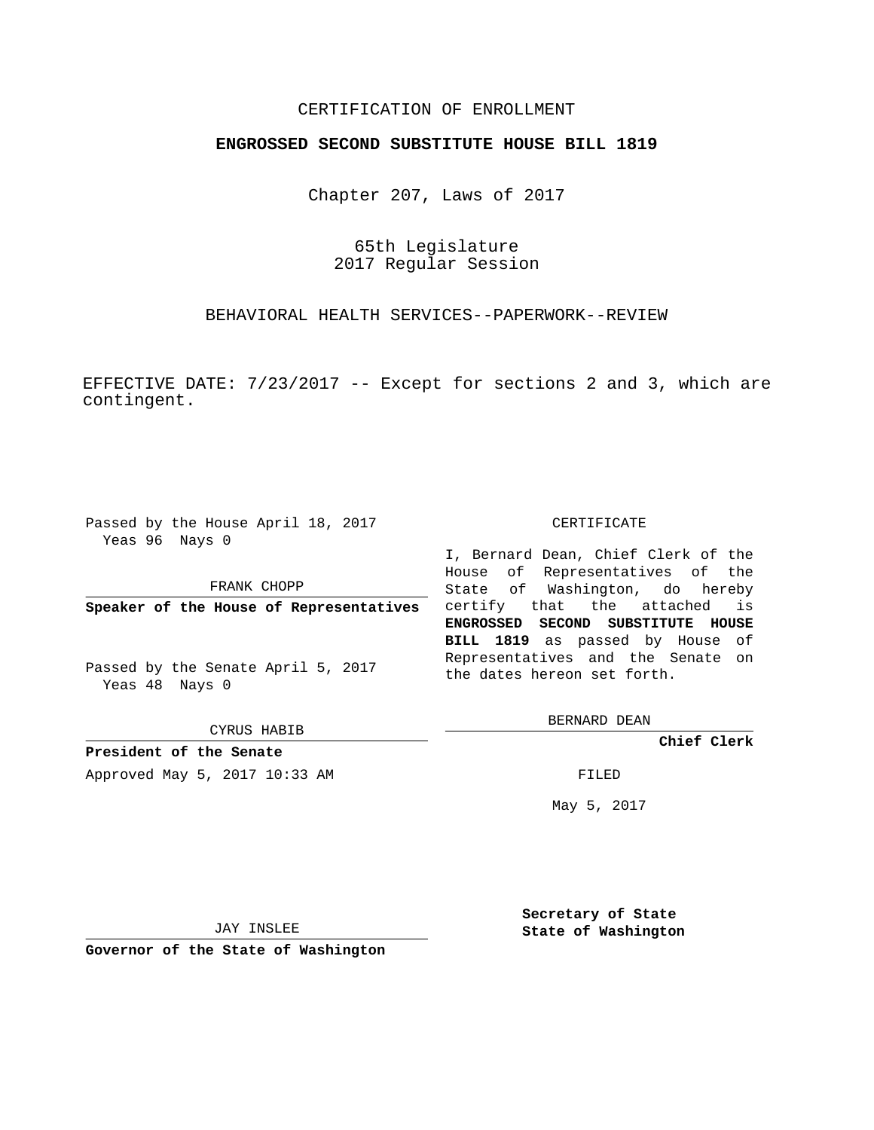## CERTIFICATION OF ENROLLMENT

## **ENGROSSED SECOND SUBSTITUTE HOUSE BILL 1819**

Chapter 207, Laws of 2017

65th Legislature 2017 Regular Session

BEHAVIORAL HEALTH SERVICES--PAPERWORK--REVIEW

EFFECTIVE DATE: 7/23/2017 -- Except for sections 2 and 3, which are contingent.

Passed by the House April 18, 2017 Yeas 96 Nays 0

FRANK CHOPP

**Speaker of the House of Representatives**

Passed by the Senate April 5, 2017 Yeas 48 Nays 0

CYRUS HABIB

**President of the Senate** Approved May 5, 2017 10:33 AM FILED

#### CERTIFICATE

I, Bernard Dean, Chief Clerk of the House of Representatives of the State of Washington, do hereby certify that the attached is **ENGROSSED SECOND SUBSTITUTE HOUSE BILL 1819** as passed by House of Representatives and the Senate on the dates hereon set forth.

BERNARD DEAN

**Chief Clerk**

May 5, 2017

JAY INSLEE

**Governor of the State of Washington**

**Secretary of State State of Washington**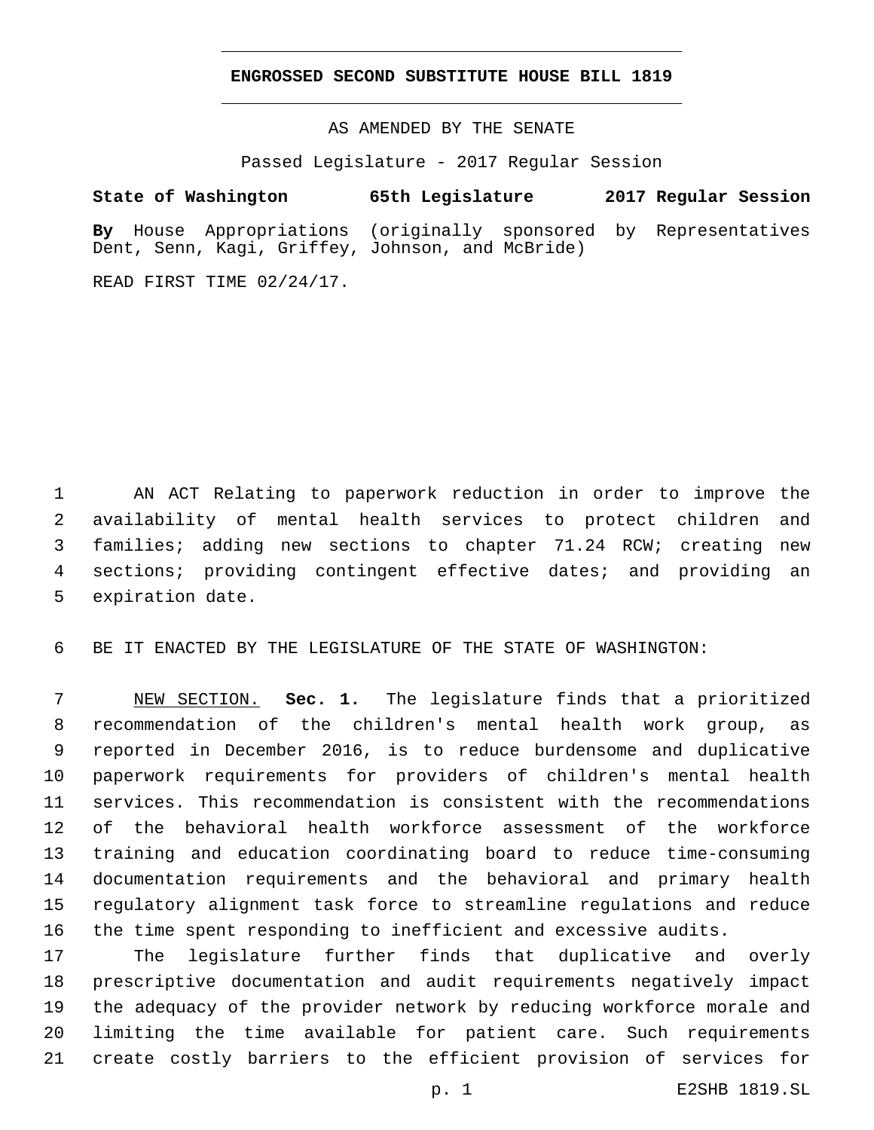### **ENGROSSED SECOND SUBSTITUTE HOUSE BILL 1819**

AS AMENDED BY THE SENATE

Passed Legislature - 2017 Regular Session

# **State of Washington 65th Legislature 2017 Regular Session**

**By** House Appropriations (originally sponsored by Representatives Dent, Senn, Kagi, Griffey, Johnson, and McBride)

READ FIRST TIME 02/24/17.

 AN ACT Relating to paperwork reduction in order to improve the availability of mental health services to protect children and families; adding new sections to chapter 71.24 RCW; creating new sections; providing contingent effective dates; and providing an 5 expiration date.

BE IT ENACTED BY THE LEGISLATURE OF THE STATE OF WASHINGTON:

 NEW SECTION. **Sec. 1.** The legislature finds that a prioritized recommendation of the children's mental health work group, as reported in December 2016, is to reduce burdensome and duplicative paperwork requirements for providers of children's mental health services. This recommendation is consistent with the recommendations of the behavioral health workforce assessment of the workforce training and education coordinating board to reduce time-consuming documentation requirements and the behavioral and primary health regulatory alignment task force to streamline regulations and reduce the time spent responding to inefficient and excessive audits.

 The legislature further finds that duplicative and overly prescriptive documentation and audit requirements negatively impact the adequacy of the provider network by reducing workforce morale and limiting the time available for patient care. Such requirements create costly barriers to the efficient provision of services for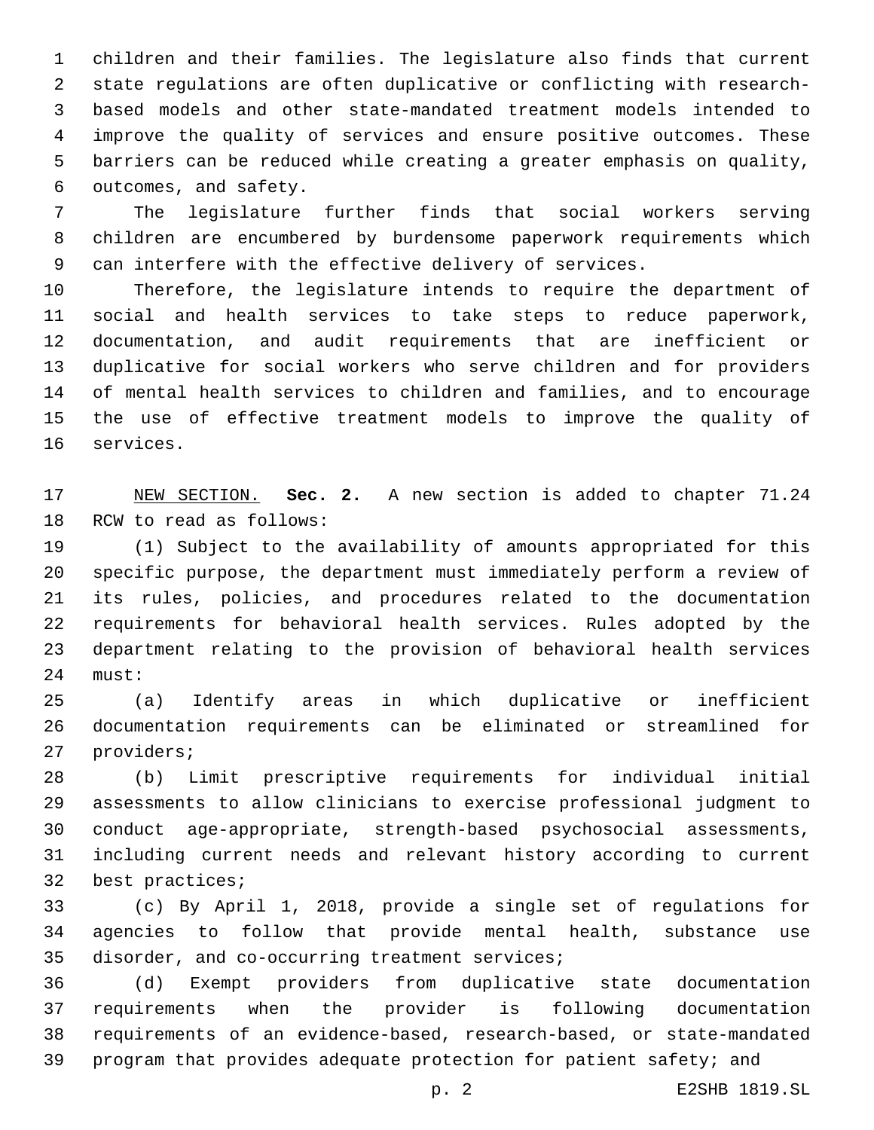children and their families. The legislature also finds that current state regulations are often duplicative or conflicting with research- based models and other state-mandated treatment models intended to improve the quality of services and ensure positive outcomes. These barriers can be reduced while creating a greater emphasis on quality, 6 outcomes, and safety.

 The legislature further finds that social workers serving children are encumbered by burdensome paperwork requirements which can interfere with the effective delivery of services.

 Therefore, the legislature intends to require the department of social and health services to take steps to reduce paperwork, documentation, and audit requirements that are inefficient or duplicative for social workers who serve children and for providers of mental health services to children and families, and to encourage the use of effective treatment models to improve the quality of 16 services.

 NEW SECTION. **Sec. 2.** A new section is added to chapter 71.24 18 RCW to read as follows:

 (1) Subject to the availability of amounts appropriated for this specific purpose, the department must immediately perform a review of its rules, policies, and procedures related to the documentation requirements for behavioral health services. Rules adopted by the department relating to the provision of behavioral health services 24 must:

 (a) Identify areas in which duplicative or inefficient documentation requirements can be eliminated or streamlined for 27 providers;

 (b) Limit prescriptive requirements for individual initial assessments to allow clinicians to exercise professional judgment to conduct age-appropriate, strength-based psychosocial assessments, including current needs and relevant history according to current 32 best practices;

 (c) By April 1, 2018, provide a single set of regulations for agencies to follow that provide mental health, substance use 35 disorder, and co-occurring treatment services;

 (d) Exempt providers from duplicative state documentation requirements when the provider is following documentation requirements of an evidence-based, research-based, or state-mandated program that provides adequate protection for patient safety; and

p. 2 E2SHB 1819.SL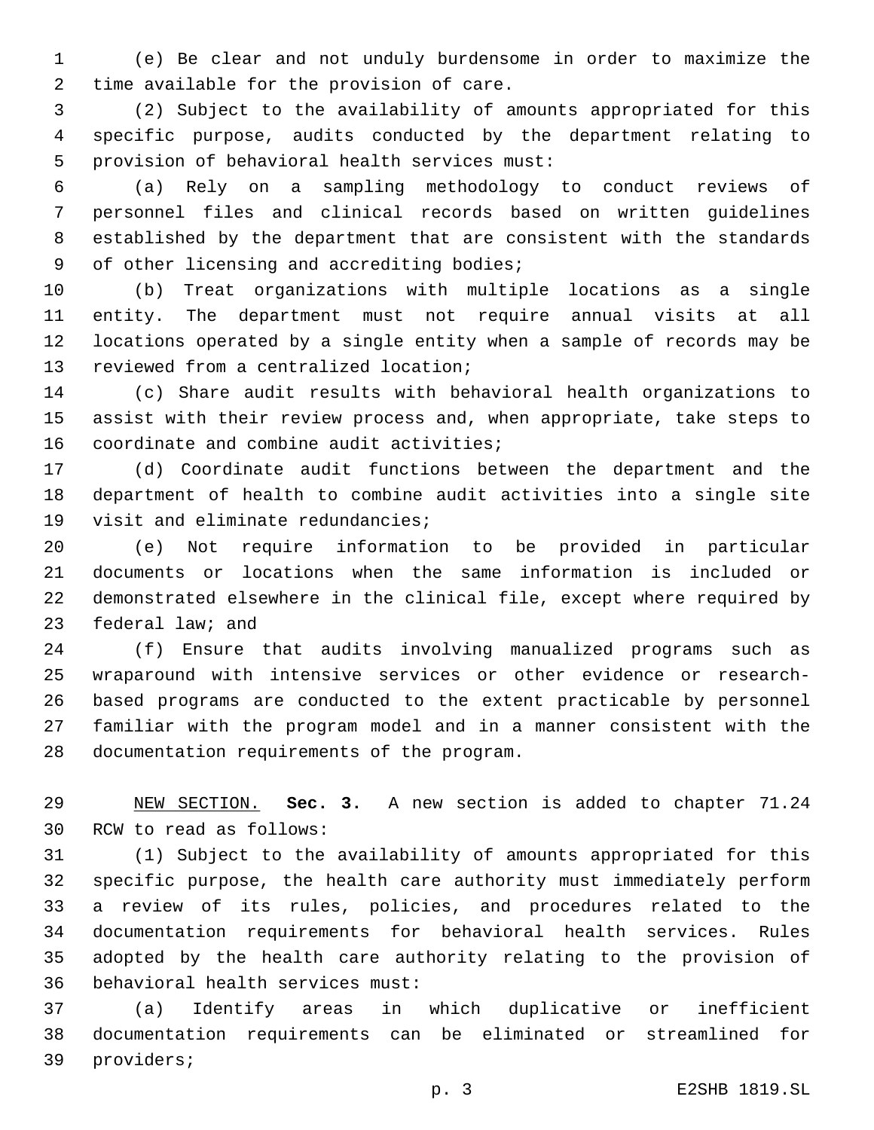(e) Be clear and not unduly burdensome in order to maximize the 2 time available for the provision of care.

 (2) Subject to the availability of amounts appropriated for this specific purpose, audits conducted by the department relating to 5 provision of behavioral health services must:

 (a) Rely on a sampling methodology to conduct reviews of personnel files and clinical records based on written guidelines established by the department that are consistent with the standards 9 of other licensing and accrediting bodies;

 (b) Treat organizations with multiple locations as a single entity. The department must not require annual visits at all locations operated by a single entity when a sample of records may be 13 reviewed from a centralized location;

 (c) Share audit results with behavioral health organizations to assist with their review process and, when appropriate, take steps to 16 coordinate and combine audit activities;

 (d) Coordinate audit functions between the department and the department of health to combine audit activities into a single site 19 visit and eliminate redundancies;

 (e) Not require information to be provided in particular documents or locations when the same information is included or demonstrated elsewhere in the clinical file, except where required by 23 federal law; and

 (f) Ensure that audits involving manualized programs such as wraparound with intensive services or other evidence or research- based programs are conducted to the extent practicable by personnel familiar with the program model and in a manner consistent with the 28 documentation requirements of the program.

 NEW SECTION. **Sec. 3.** A new section is added to chapter 71.24 30 RCW to read as follows:

 (1) Subject to the availability of amounts appropriated for this specific purpose, the health care authority must immediately perform a review of its rules, policies, and procedures related to the documentation requirements for behavioral health services. Rules adopted by the health care authority relating to the provision of 36 behavioral health services must:

 (a) Identify areas in which duplicative or inefficient documentation requirements can be eliminated or streamlined for 39 providers;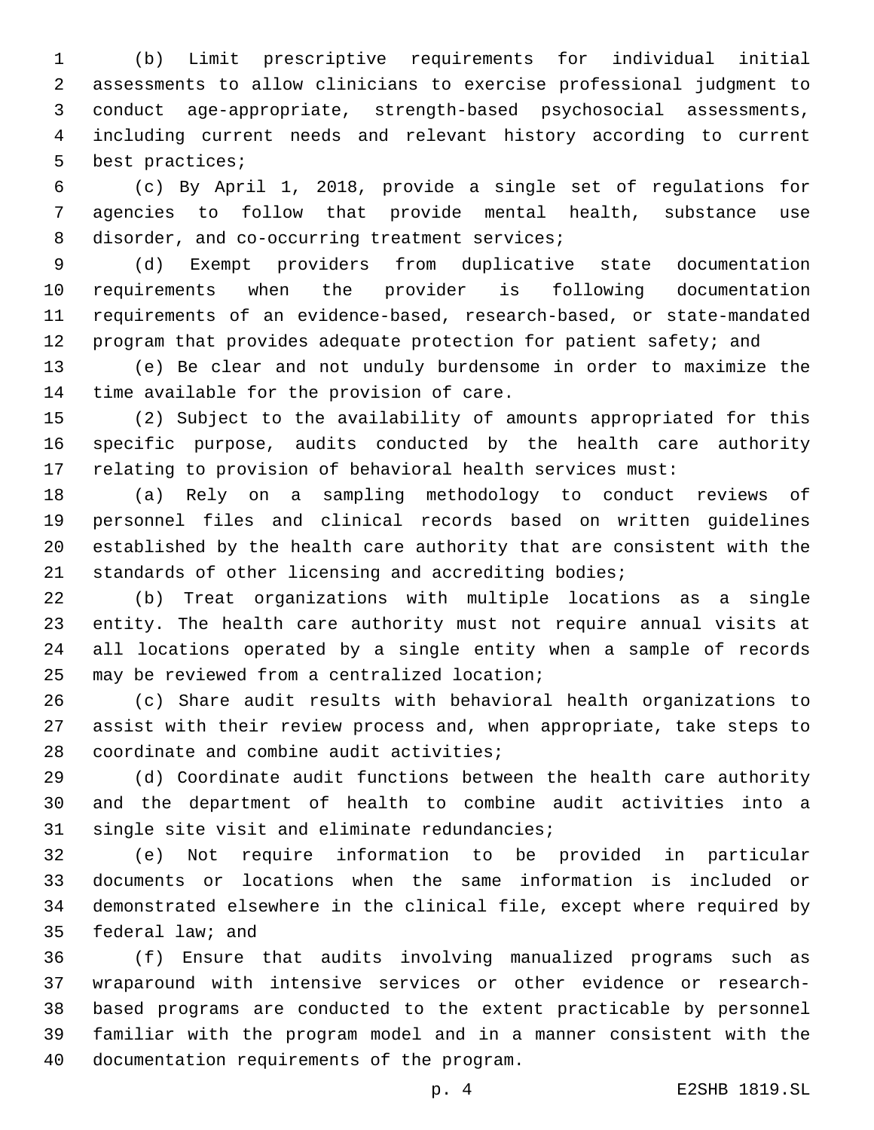(b) Limit prescriptive requirements for individual initial assessments to allow clinicians to exercise professional judgment to conduct age-appropriate, strength-based psychosocial assessments, including current needs and relevant history according to current 5 best practices;

 (c) By April 1, 2018, provide a single set of regulations for agencies to follow that provide mental health, substance use 8 disorder, and co-occurring treatment services;

 (d) Exempt providers from duplicative state documentation requirements when the provider is following documentation requirements of an evidence-based, research-based, or state-mandated 12 program that provides adequate protection for patient safety; and

 (e) Be clear and not unduly burdensome in order to maximize the 14 time available for the provision of care.

 (2) Subject to the availability of amounts appropriated for this specific purpose, audits conducted by the health care authority relating to provision of behavioral health services must:

 (a) Rely on a sampling methodology to conduct reviews of personnel files and clinical records based on written guidelines established by the health care authority that are consistent with the standards of other licensing and accrediting bodies;

 (b) Treat organizations with multiple locations as a single entity. The health care authority must not require annual visits at all locations operated by a single entity when a sample of records 25 may be reviewed from a centralized location;

 (c) Share audit results with behavioral health organizations to assist with their review process and, when appropriate, take steps to 28 coordinate and combine audit activities;

 (d) Coordinate audit functions between the health care authority and the department of health to combine audit activities into a 31 single site visit and eliminate redundancies;

 (e) Not require information to be provided in particular documents or locations when the same information is included or demonstrated elsewhere in the clinical file, except where required by 35 federal law; and

 (f) Ensure that audits involving manualized programs such as wraparound with intensive services or other evidence or research- based programs are conducted to the extent practicable by personnel familiar with the program model and in a manner consistent with the 40 documentation requirements of the program.